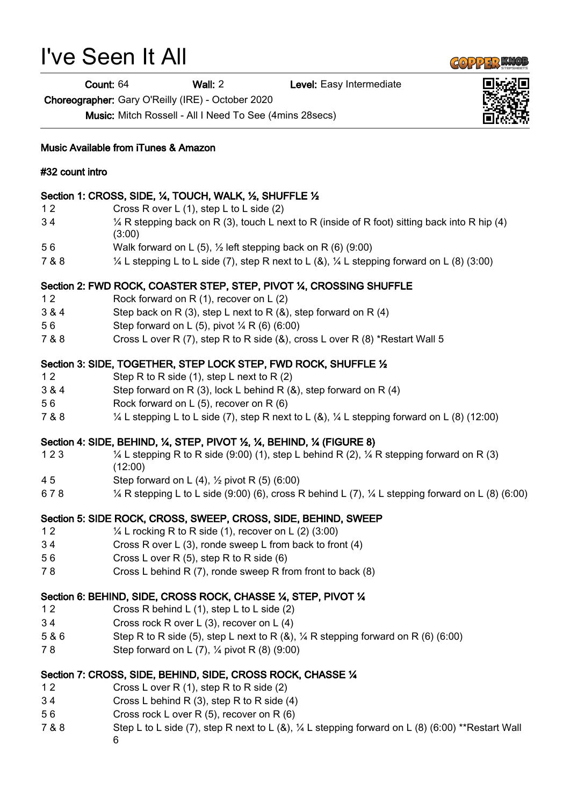# I've Seen It All

Count: 64 Wall: 2 Level: Easy Intermediate

Choreographer: Gary O'Reilly (IRE) - October 2020

Music: Mitch Rossell - All I Need To See (4mins 28secs)

#### Music Available from iTunes & Amazon

#### #32 count intro

## Section 1: CROSS, SIDE, ¼, TOUCH, WALK, ½, SHUFFLE ½

- 1 2 Cross R over L (1), step L to L side (2)
- 3 4 ¼ R stepping back on R (3), touch L next to R (inside of R foot) sitting back into R hip (4) (3:00)
- 5 6 Walk forward on L (5), ½ left stepping back on R (6) (9:00)
- 7 & 8 ¼ L stepping L to L side (7), step R next to L (&), ¼ L stepping forward on L (8) (3:00)

## Section 2: FWD ROCK, COASTER STEP, STEP, PIVOT ¼, CROSSING SHUFFLE

- 1 2 Rock forward on R (1), recover on L (2)
- 3 & 4 Step back on R (3), step L next to R (&), step forward on R (4)
- 5 6 Step forward on L (5), pivot ¼ R (6) (6:00)
- 7 & 8 Cross L over R (7), step R to R side (&), cross L over R (8) \*Restart Wall 5

## Section 3: SIDE, TOGETHER, STEP LOCK STEP, FWD ROCK, SHUFFLE ½

- 1 2 Step R to R side (1), step L next to R (2)
- 3 & 4 Step forward on R (3), lock L behind R (&), step forward on R (4)
- 5 6 Rock forward on L (5), recover on R (6)
- 7 & 8 ¼ L stepping L to L side (7), step R next to L (&), ¼ L stepping forward on L (8) (12:00)

#### Section 4: SIDE, BEHIND, ¼, STEP, PIVOT ½, ¼, BEHIND, ¼ (FIGURE 8)

- 1 2 3 ¼ L stepping R to R side (9:00) (1), step L behind R (2), ¼ R stepping forward on R (3) (12:00)
- 4 5 Step forward on L (4), ½ pivot R (5) (6:00)
- 6 7 8 ¼ R stepping L to L side (9:00) (6), cross R behind L (7), ¼ L stepping forward on L (8) (6:00)

# Section 5: SIDE ROCK, CROSS, SWEEP, CROSS, SIDE, BEHIND, SWEEP

- 1 2  $\frac{1}{4}$  L rocking R to R side (1), recover on L (2) (3:00)
- 3 4 Cross R over L (3), ronde sweep L from back to front (4)
- 5 6 Cross L over R (5), step R to R side (6)
- 7 8 Cross L behind R (7), ronde sweep R from front to back (8)

#### Section 6: BEHIND, SIDE, CROSS ROCK, CHASSE ¼, STEP, PIVOT ¼

- 1 2 Cross R behind L (1), step L to L side (2)
- 3 4 Cross rock R over L (3), recover on L (4)
- 5 & 6 Step R to R side (5), step L next to R (&), ¼ R stepping forward on R (6) (6:00)
- 7 8 Step forward on L (7), ¼ pivot R (8) (9:00)

# Section 7: CROSS, SIDE, BEHIND, SIDE, CROSS ROCK, CHASSE ¼

- 1 2 Cross L over R (1), step R to R side (2)
- 3 4 Cross L behind R (3), step R to R side (4)
- 5 6 Cross rock L over R (5), recover on R (6)
- 7 & 8 Step L to L side (7), step R next to L (&), ¼ L stepping forward on L (8) (6:00) \*\*Restart Wall 6